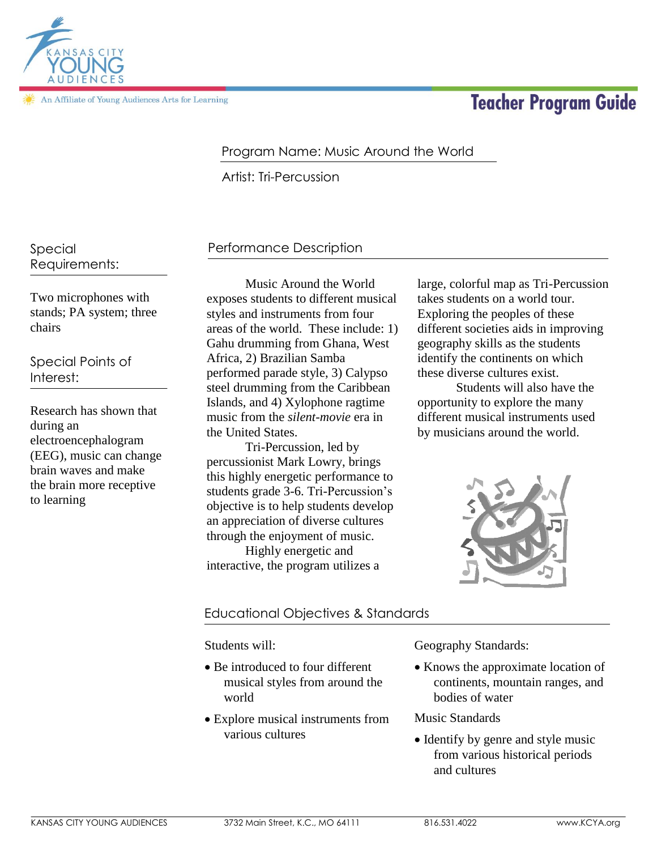

An Affiliate of Young Audiences Arts for Learning

# **Teacher Program Guide**

# Program Name: Music Around the World

Artist: Tri-Percussion

Special Requirements:

Two microphones with stands; PA system; three chairs

Special Points of Interest:

Research has shown that during an electroencephalogram (EEG), music can change brain waves and make the brain more receptive to learning

# Performance Description

Music Around the World exposes students to different musical styles and instruments from four areas of the world. These include: 1) Gahu drumming from Ghana, West Africa, 2) Brazilian Samba performed parade style, 3) Calypso steel drumming from the Caribbean Islands, and 4) Xylophone ragtime music from the *silent-movie* era in the United States.

Tri-Percussion, led by percussionist Mark Lowry, brings this highly energetic performance to students grade 3-6. Tri-Percussion's objective is to help students develop an appreciation of diverse cultures through the enjoyment of music.

Highly energetic and interactive, the program utilizes a large, colorful map as Tri-Percussion takes students on a world tour. Exploring the peoples of these different societies aids in improving geography skills as the students identify the continents on which these diverse cultures exist.

Students will also have the opportunity to explore the many different musical instruments used by musicians around the world.



## Educational Objectives & Standards

#### Students will:

- Be introduced to four different musical styles from around the world
- Explore musical instruments from various cultures

Geography Standards:

• Knows the approximate location of continents, mountain ranges, and bodies of water

Music Standards

• Identify by genre and style music from various historical periods and cultures